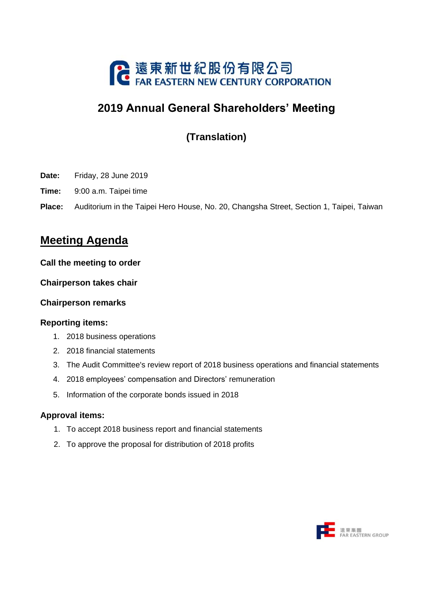

# **2019 Annual General Shareholders' Meeting**

**(Translation)**

- **Date:** Friday, 28 June 2019
- **Time:** 9:00 a.m. Taipei time
- **Place:** Auditorium in the Taipei Hero House, No. 20, Changsha Street, Section 1, Taipei, Taiwan

## **Meeting Agenda**

#### **Call the meeting to order**

#### **Chairperson takes chair**

## **Chairperson remarks**

#### **Reporting items:**

- 1. 2018 business operations
- 2. 2018 financial statements
- 3. The Audit Committee's review report of 2018 business operations and financial statements
- 4. 2018 employees' compensation and Directors' remuneration
- 5. Information of the corporate bonds issued in 2018

## **Approval items:**

- 1. To accept 2018 business report and financial statements
- 2. To approve the proposal for distribution of 2018 profits